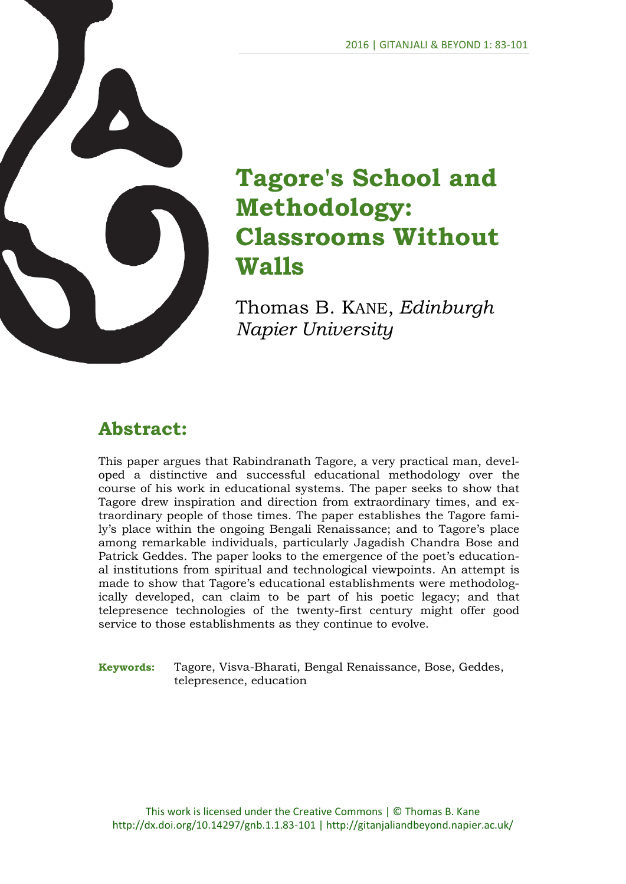

# **Tagore's School and Methodology: Classrooms Without Walls**

Thomas B. KANE, *Edinburgh Napier University*

# **Abstract:**

This paper argues that Rabindranath Tagore, a very practical man, developed a distinctive and successful educational methodology over the course of his work in educational systems. The paper seeks to show that Tagore drew inspiration and direction from extraordinary times, and extraordinary people of those times. The paper establishes the Tagore family's place within the ongoing Bengali Renaissance; and to Tagore's place among remarkable individuals, particularly Jagadish Chandra Bose and Patrick Geddes. The paper looks to the emergence of the poet's educational institutions from spiritual and technological viewpoints. An attempt is made to show that Tagore's educational establishments were methodologically developed, can claim to be part of his poetic legacy; and that telepresence technologies of the twenty-first century might offer good service to those establishments as they continue to evolve.

**Keywords:** Tagore, Visva-Bharati, Bengal Renaissance, Bose, Geddes, telepresence, education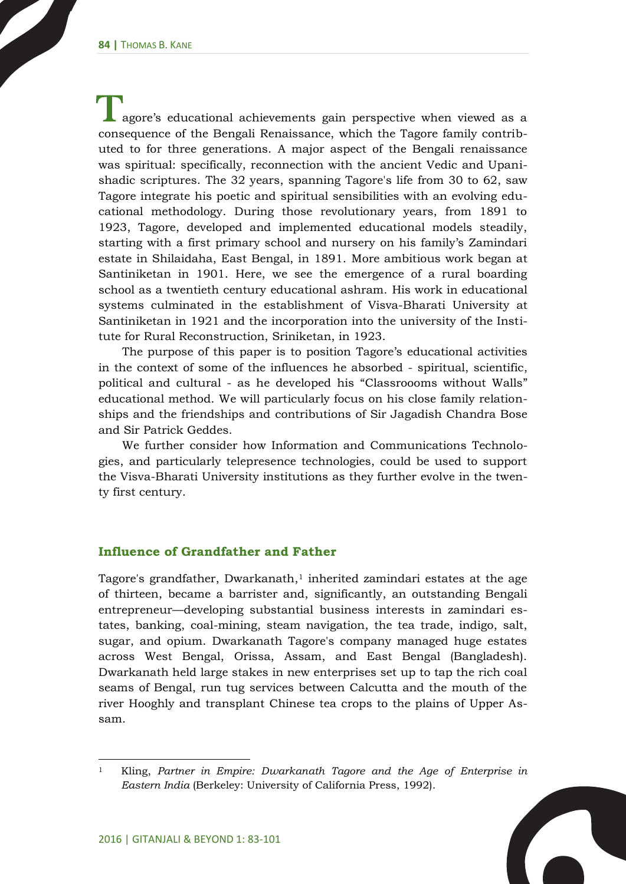agore's educational achievements gain perspective when viewed as a T consequence of the Bengali Renaissance, which the Tagore family contributed to for three generations. A major aspect of the Bengali renaissance was spiritual: specifically, reconnection with the ancient Vedic and Upanishadic scriptures. The 32 years, spanning Tagore's life from 30 to 62, saw Tagore integrate his poetic and spiritual sensibilities with an evolving educational methodology. During those revolutionary years, from 1891 to 1923, Tagore, developed and implemented educational models steadily, starting with a first primary school and nursery on his family's Zamindari estate in Shilaidaha, East Bengal, in 1891. More ambitious work began at Santiniketan in 1901. Here, we see the emergence of a rural boarding school as a twentieth century educational ashram. His work in educational systems culminated in the establishment of Visva-Bharati University at Santiniketan in 1921 and the incorporation into the university of the Institute for Rural Reconstruction, Sriniketan, in 1923.

The purpose of this paper is to position Tagore's educational activities in the context of some of the influences he absorbed - spiritual, scientific, political and cultural - as he developed his "Classroooms without Walls" educational method. We will particularly focus on his close family relationships and the friendships and contributions of Sir Jagadish Chandra Bose and Sir Patrick Geddes.

We further consider how Information and Communications Technologies, and particularly telepresence technologies, could be used to support the Visva-Bharati University institutions as they further evolve in the twenty first century.

#### **Influence of Grandfather and Father**

Tagore's grandfather, Dwarkanath, <sup>1</sup> inherited zamindari estates at the age of thirteen, became a barrister and, significantly, an outstanding Bengali entrepreneur—developing substantial business interests in zamindari estates, banking, coal-mining, steam navigation, the tea trade, indigo, salt, sugar, and opium. Dwarkanath Tagore's company managed huge estates across West Bengal, Orissa, Assam, and East Bengal (Bangladesh). Dwarkanath held large stakes in new enterprises set up to tap the rich coal seams of Bengal, run tug services between Calcutta and the mouth of the river Hooghly and transplant Chinese tea crops to the plains of Upper Assam.

 $\overline{a}$ <sup>1</sup> Kling, *Partner in Empire: Dwarkanath Tagore and the Age of Enterprise in Eastern India* (Berkeley: University of California Press, 1992).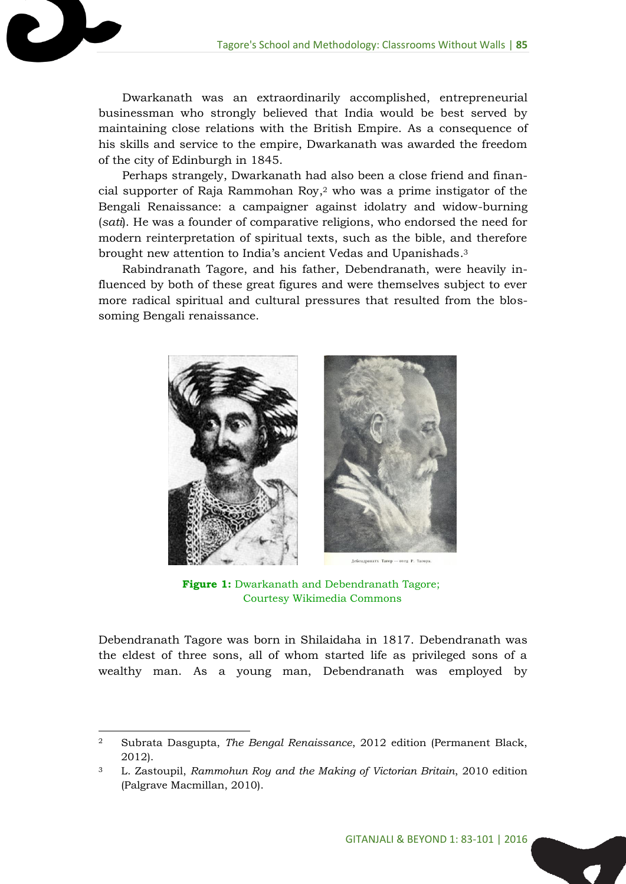Dwarkanath was an extraordinarily accomplished, entrepreneurial businessman who strongly believed that India would be best served by maintaining close relations with the British Empire. As a consequence of his skills and service to the empire, Dwarkanath was awarded the freedom of the city of Edinburgh in 1845.

Perhaps strangely, Dwarkanath had also been a close friend and financial supporter of Raja Rammohan Roy, <sup>2</sup> who was a prime instigator of the Bengali Renaissance: a campaigner against idolatry and widow-burning (*sati*). He was a founder of comparative religions, who endorsed the need for modern reinterpretation of spiritual texts, such as the bible, and therefore brought new attention to India's ancient Vedas and Upanishads. 3

Rabindranath Tagore, and his father, Debendranath, were heavily influenced by both of these great figures and were themselves subject to ever more radical spiritual and cultural pressures that resulted from the blossoming Bengali renaissance.



**Figure 1:** Dwarkanath and Debendranath Tagore; Courtesy Wikimedia Commons

Debendranath Tagore was born in Shilaidaha in 1817. Debendranath was the eldest of three sons, all of whom started life as privileged sons of a wealthy man. As a young man, Debendranath was employed by

<sup>2</sup> Subrata Dasgupta, *The Bengal Renaissance*, 2012 edition (Permanent Black, 2012).

<sup>3</sup> L. Zastoupil, *Rammohun Roy and the Making of Victorian Britain*, 2010 edition (Palgrave Macmillan, 2010).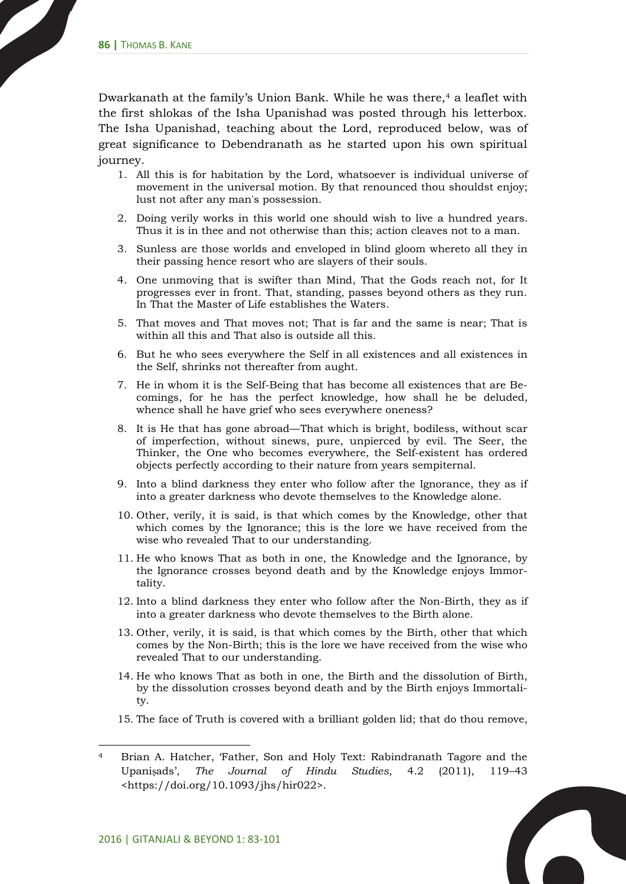Dwarkanath at the family's Union Bank. While he was there, <sup>4</sup> a leaflet with the first shlokas of the Isha Upanishad was posted through his letterbox. The Isha Upanishad, teaching about the Lord, reproduced below, was of great significance to Debendranath as he started upon his own spiritual journey.

- 1. All this is for habitation by the Lord, whatsoever is individual universe of movement in the universal motion. By that renounced thou shouldst enjoy; lust not after any man's possession.
- 2. Doing verily works in this world one should wish to live a hundred years. Thus it is in thee and not otherwise than this; action cleaves not to a man.
- 3. Sunless are those worlds and enveloped in blind gloom whereto all they in their passing hence resort who are slayers of their souls.
- 4. One unmoving that is swifter than Mind, That the Gods reach not, for It progresses ever in front. That, standing, passes beyond others as they run. In That the Master of Life establishes the Waters.
- 5. That moves and That moves not; That is far and the same is near; That is within all this and That also is outside all this.
- 6. But he who sees everywhere the Self in all existences and all existences in the Self, shrinks not thereafter from aught.
- 7. He in whom it is the Self-Being that has become all existences that are Becomings, for he has the perfect knowledge, how shall he be deluded, whence shall he have grief who sees everywhere oneness?
- 8. It is He that has gone abroad—That which is bright, bodiless, without scar of imperfection, without sinews, pure, unpierced by evil. The Seer, the Thinker, the One who becomes everywhere, the Self-existent has ordered objects perfectly according to their nature from years sempiternal.
- 9. Into a blind darkness they enter who follow after the Ignorance, they as if into a greater darkness who devote themselves to the Knowledge alone.
- 10. Other, verily, it is said, is that which comes by the Knowledge, other that which comes by the Ignorance; this is the lore we have received from the wise who revealed That to our understanding.
- 11. He who knows That as both in one, the Knowledge and the Ignorance, by the Ignorance crosses beyond death and by the Knowledge enjoys Immortality.
- 12. Into a blind darkness they enter who follow after the Non-Birth, they as if into a greater darkness who devote themselves to the Birth alone.
- 13. Other, verily, it is said, is that which comes by the Birth, other that which comes by the Non-Birth; this is the lore we have received from the wise who revealed That to our understanding.
- 14. He who knows That as both in one, the Birth and the dissolution of Birth, by the dissolution crosses beyond death and by the Birth enjoys Immortality.
- 15. The face of Truth is covered with a brilliant golden lid; that do thou remove,

**C** 

<sup>4</sup> Brian A. Hatcher, 'Father, Son and Holy Text: Rabindranath Tagore and the Upaniṣads', *The Journal of Hindu Studies*, 4.2 (2011), 119–43 <https://doi.org/10.1093/jhs/hir022>.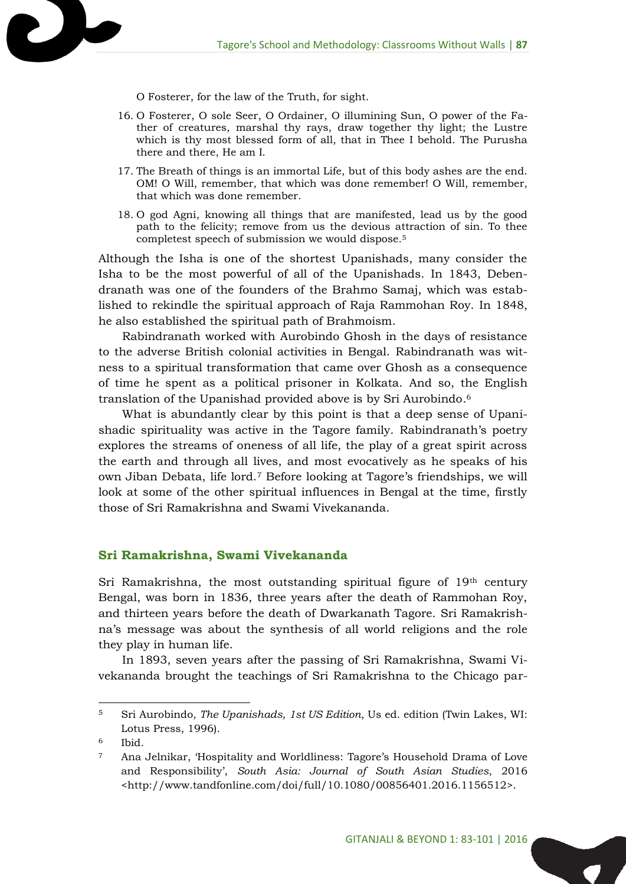O Fosterer, for the law of the Truth, for sight.

- 16. O Fosterer, O sole Seer, O Ordainer, O illumining Sun, O power of the Father of creatures, marshal thy rays, draw together thy light; the Lustre which is thy most blessed form of all, that in Thee I behold. The Purusha there and there, He am I.
- 17. The Breath of things is an immortal Life, but of this body ashes are the end. OM! O Will, remember, that which was done remember! O Will, remember, that which was done remember.
- 18. O god Agni, knowing all things that are manifested, lead us by the good path to the felicity; remove from us the devious attraction of sin. To thee completest speech of submission we would dispose.<sup>5</sup>

Although the Isha is one of the shortest Upanishads, many consider the Isha to be the most powerful of all of the Upanishads. In 1843, Debendranath was one of the founders of the Brahmo Samaj, which was established to rekindle the spiritual approach of Raja Rammohan Roy. In 1848, he also established the spiritual path of Brahmoism.

Rabindranath worked with Aurobindo Ghosh in the days of resistance to the adverse British colonial activities in Bengal. Rabindranath was witness to a spiritual transformation that came over Ghosh as a consequence of time he spent as a political prisoner in Kolkata. And so, the English translation of the Upanishad provided above is by Sri Aurobindo. 6

What is abundantly clear by this point is that a deep sense of Upanishadic spirituality was active in the Tagore family. Rabindranath's poetry explores the streams of oneness of all life, the play of a great spirit across the earth and through all lives, and most evocatively as he speaks of his own Jiban Debata, life lord.<sup>7</sup> Before looking at Tagore's friendships, we will look at some of the other spiritual influences in Bengal at the time, firstly those of Sri Ramakrishna and Swami Vivekananda.

#### **Sri Ramakrishna, Swami Vivekananda**

Sri Ramakrishna, the most outstanding spiritual figure of  $19<sup>th</sup>$  century Bengal, was born in 1836, three years after the death of Rammohan Roy, and thirteen years before the death of Dwarkanath Tagore. Sri Ramakrishna's message was about the synthesis of all world religions and the role they play in human life.

In 1893, seven years after the passing of Sri Ramakrishna, Swami Vivekananda brought the teachings of Sri Ramakrishna to the Chicago par-

 $\overline{a}$ 

2 k

<sup>5</sup> Sri Aurobindo, *The Upanishads, 1st US Edition*, Us ed. edition (Twin Lakes, WI: Lotus Press, 1996).

<sup>6</sup> Ibid.

<sup>7</sup> Ana Jelnikar, 'Hospitality and Worldliness: Tagore's Household Drama of Love and Responsibility', *South Asia: Journal of South Asian Studies*, 2016 <http://www.tandfonline.com/doi/full/10.1080/00856401.2016.1156512>.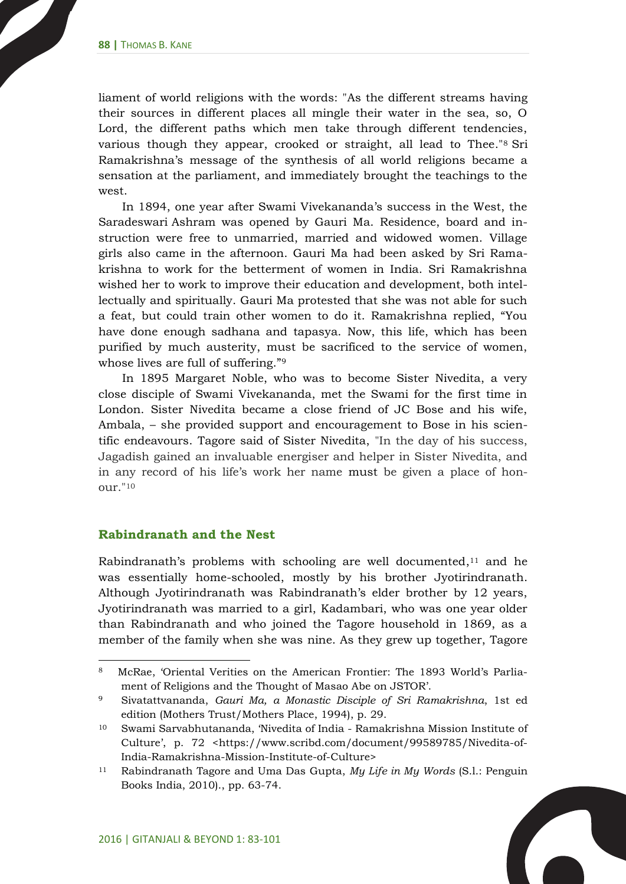liament of world religions with the words: "As the different streams having their sources in different places all mingle their water in the sea, so, O Lord, the different paths which men take through different tendencies, various though they appear, crooked or straight, all lead to Thee."<sup>8</sup> Sri Ramakrishna's message of the synthesis of all world religions became a sensation at the parliament, and immediately brought the teachings to the west.

In 1894, one year after Swami Vivekananda's success in the West, the Saradeswari Ashram was opened by Gauri Ma. Residence, board and instruction were free to unmarried, married and widowed women. Village girls also came in the afternoon. Gauri Ma had been asked by Sri Ramakrishna to work for the betterment of women in India. Sri Ramakrishna wished her to work to improve their education and development, both intellectually and spiritually. Gauri Ma protested that she was not able for such a feat, but could train other women to do it. Ramakrishna replied, "You have done enough sadhana and tapasya. Now, this life, which has been purified by much austerity, must be sacrificed to the service of women, whose lives are full of suffering."<sup>9</sup>

In 1895 Margaret Noble, who was to become Sister Nivedita, a very close disciple of Swami Vivekananda, met the Swami for the first time in London. Sister Nivedita became a close friend of JC Bose and his wife, Ambala, – she provided support and encouragement to Bose in his scientific endeavours. Tagore said of Sister Nivedita, "In the day of his success, Jagadish gained an invaluable energiser and helper in Sister Nivedita, and in any record of his life's work her name must be given a place of honour."<sup>10</sup>

#### **Rabindranath and the Nest**

 $\overline{a}$ 

Rabindranath's problems with schooling are well documented, <sup>11</sup> and he was essentially home-schooled, mostly by his brother Jyotirindranath. Although Jyotirindranath was Rabindranath's elder brother by 12 years, Jyotirindranath was married to a girl, Kadambari, who was one year older than Rabindranath and who joined the Tagore household in 1869, as a member of the family when she was nine. As they grew up together, Tagore

 $\overline{\phantom{a}}$ 

<sup>8</sup> McRae, 'Oriental Verities on the American Frontier: The 1893 World's Parliament of Religions and the Thought of Masao Abe on JSTOR'.

<sup>9</sup> Sivatattvananda, *Gauri Ma, a Monastic Disciple of Sri Ramakrishna*, 1st ed edition (Mothers Trust/Mothers Place, 1994), p. 29.

<sup>10</sup> Swami Sarvabhutananda, 'Nivedita of India - Ramakrishna Mission Institute of Culture', p. 72 <https://www.scribd.com/document/99589785/Nivedita-of-India-Ramakrishna-Mission-Institute-of-Culture>

<sup>11</sup> Rabindranath Tagore and Uma Das Gupta, *My Life in My Words* (S.l.: Penguin Books India, 2010)., pp. 63-74.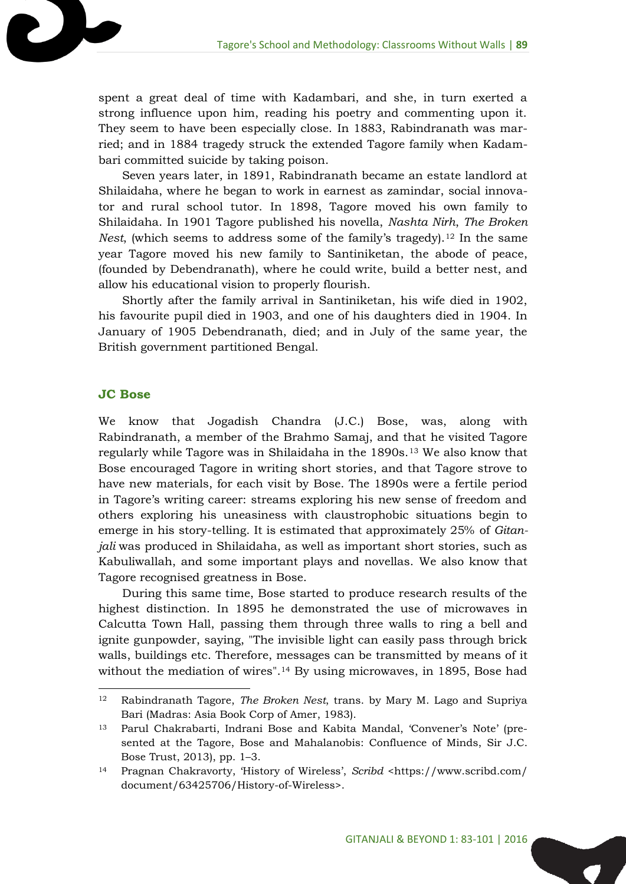spent a great deal of time with Kadambari, and she, in turn exerted a strong influence upon him, reading his poetry and commenting upon it. They seem to have been especially close. In 1883, Rabindranath was married; and in 1884 tragedy struck the extended Tagore family when Kadambari committed suicide by taking poison.

Seven years later, in 1891, Rabindranath became an estate landlord at Shilaidaha, where he began to work in earnest as zamindar, social innovator and rural school tutor. In 1898, Tagore moved his own family to Shilaidaha. In 1901 Tagore published his novella, *Nashta Nirh*, *The Broken Nest*, (which seems to address some of the family's tragedy).<sup>12</sup> In the same year Tagore moved his new family to Santiniketan, the abode of peace, (founded by Debendranath), where he could write, build a better nest, and allow his educational vision to properly flourish.

Shortly after the family arrival in Santiniketan, his wife died in 1902, his favourite pupil died in 1903, and one of his daughters died in 1904. In January of 1905 Debendranath, died; and in July of the same year, the British government partitioned Bengal.

#### **JC Bose**

 $\overline{a}$ 

We know that Jogadish Chandra (J.C.) Bose, was, along with Rabindranath, a member of the Brahmo Samaj, and that he visited Tagore regularly while Tagore was in Shilaidaha in the 1890s.<sup>13</sup> We also know that Bose encouraged Tagore in writing short stories, and that Tagore strove to have new materials, for each visit by Bose. The 1890s were a fertile period in Tagore's writing career: streams exploring his new sense of freedom and others exploring his uneasiness with claustrophobic situations begin to emerge in his story-telling. It is estimated that approximately 25% of *Gitanjali* was produced in Shilaidaha, as well as important short stories, such as Kabuliwallah, and some important plays and novellas. We also know that Tagore recognised greatness in Bose.

During this same time, Bose started to produce research results of the highest distinction. In 1895 he demonstrated the use of microwaves in Calcutta Town Hall, passing them through three walls to ring a bell and ignite gunpowder, saying, "The invisible light can easily pass through brick walls, buildings etc. Therefore, messages can be transmitted by means of it without the mediation of wires".<sup>14</sup> By using microwaves, in 1895, Bose had

<sup>12</sup> Rabindranath Tagore, *The Broken Nest*, trans. by Mary M. Lago and Supriya Bari (Madras: Asia Book Corp of Amer, 1983).

<sup>13</sup> Parul Chakrabarti, Indrani Bose and Kabita Mandal, 'Convener's Note' (presented at the Tagore, Bose and Mahalanobis: Confluence of Minds, Sir J.C. Bose Trust, 2013), pp. 1–3.

<sup>14</sup> Pragnan Chakravorty, 'History of Wireless', *Scribd* <https://www.scribd.com/ document/63425706/History-of-Wireless>.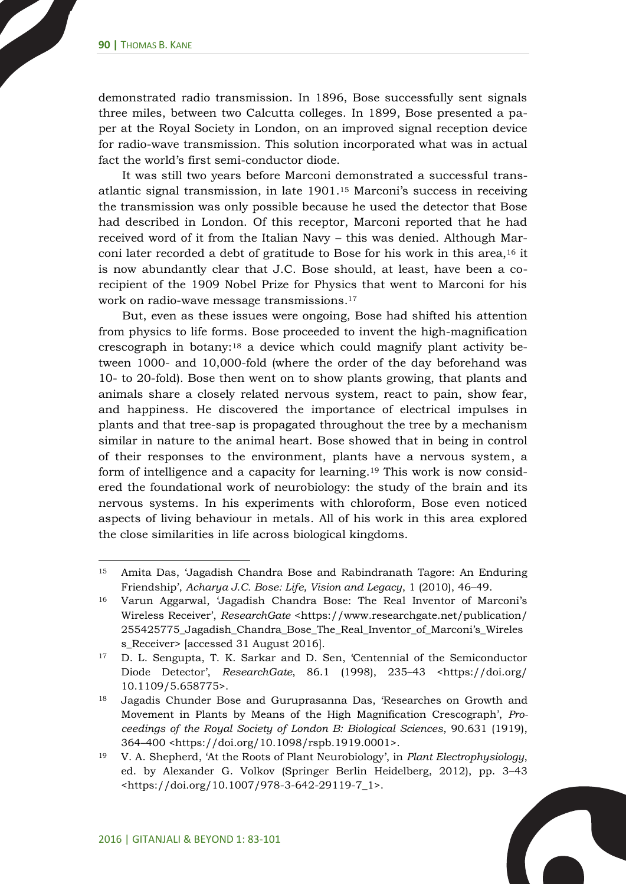demonstrated radio transmission. In 1896, Bose successfully sent signals three miles, between two Calcutta colleges. In 1899, Bose presented a paper at the Royal Society in London, on an improved signal reception device for radio-wave transmission. This solution incorporated what was in actual fact the world's first semi-conductor diode.

It was still two years before Marconi demonstrated a successful transatlantic signal transmission, in late 1901. <sup>15</sup> Marconi's success in receiving the transmission was only possible because he used the detector that Bose had described in London. Of this receptor, Marconi reported that he had received word of it from the Italian Navy – this was denied. Although Marconi later recorded a debt of gratitude to Bose for his work in this area,<sup>16</sup> it is now abundantly clear that J.C. Bose should, at least, have been a corecipient of the 1909 Nobel Prize for Physics that went to Marconi for his work on radio-wave message transmissions. 17

But, even as these issues were ongoing, Bose had shifted his attention from physics to life forms. Bose proceeded to invent the high-magnification crescograph in botany:<sup>18</sup> a device which could magnify plant activity between 1000- and 10,000-fold (where the order of the day beforehand was 10- to 20-fold). Bose then went on to show plants growing, that plants and animals share a closely related nervous system, react to pain, show fear, and happiness. He discovered the importance of electrical impulses in plants and that tree-sap is propagated throughout the tree by a mechanism similar in nature to the animal heart. Bose showed that in being in control of their responses to the environment, plants have a nervous system, a form of intelligence and a capacity for learning. <sup>19</sup> This work is now considered the foundational work of neurobiology: the study of the brain and its nervous systems. In his experiments with chloroform, Bose even noticed aspects of living behaviour in metals. All of his work in this area explored the close similarities in life across biological kingdoms.

 $\overline{\phantom{a}}$ 

<sup>15</sup> Amita Das, 'Jagadish Chandra Bose and Rabindranath Tagore: An Enduring Friendship', *Acharya J.C. Bose: Life, Vision and Legacy*, 1 (2010), 46–49.

<sup>16</sup> Varun Aggarwal, 'Jagadish Chandra Bose: The Real Inventor of Marconi's Wireless Receiver', *ResearchGate* <https://www.researchgate.net/publication/ 255425775\_Jagadish\_Chandra\_Bose\_The\_Real\_Inventor\_of\_Marconi's\_Wireles s\_Receiver> [accessed 31 August 2016].

<sup>17</sup> D. L. Sengupta, T. K. Sarkar and D. Sen, 'Centennial of the Semiconductor Diode Detector', *ResearchGate*, 86.1 (1998), 235–43 <https://doi.org/ 10.1109/5.658775>.

<sup>18</sup> Jagadis Chunder Bose and Guruprasanna Das, 'Researches on Growth and Movement in Plants by Means of the High Magnification Crescograph', *Proceedings of the Royal Society of London B: Biological Sciences*, 90.631 (1919), 364–400 <https://doi.org/10.1098/rspb.1919.0001>.

<sup>19</sup> V. A. Shepherd, 'At the Roots of Plant Neurobiology', in *Plant Electrophysiology*, ed. by Alexander G. Volkov (Springer Berlin Heidelberg, 2012), pp. 3–43 <https://doi.org/10.1007/978-3-642-29119-7\_1>.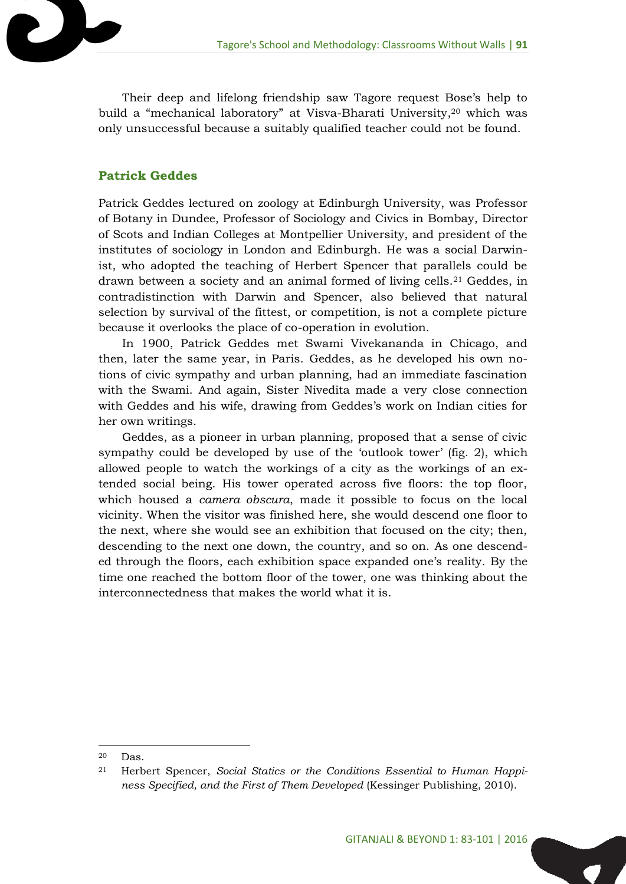Their deep and lifelong friendship saw Tagore request Bose's help to build a "mechanical laboratory" at Visva-Bharati University, <sup>20</sup> which was only unsuccessful because a suitably qualified teacher could not be found.

#### **Patrick Geddes**

Patrick Geddes lectured on zoology at Edinburgh University, was Professor of Botany in Dundee, Professor of Sociology and Civics in Bombay, Director of Scots and Indian Colleges at Montpellier University, and president of the institutes of sociology in London and Edinburgh. He was a social Darwinist, who adopted the teaching of Herbert Spencer that parallels could be drawn between a society and an animal formed of living cells.<sup>21</sup> Geddes, in contradistinction with Darwin and Spencer, also believed that natural selection by survival of the fittest, or competition, is not a complete picture because it overlooks the place of co-operation in evolution.

In 1900, Patrick Geddes met Swami Vivekananda in Chicago, and then, later the same year, in Paris. Geddes, as he developed his own notions of civic sympathy and urban planning, had an immediate fascination with the Swami. And again, Sister Nivedita made a very close connection with Geddes and his wife, drawing from Geddes's work on Indian cities for her own writings.

Geddes, as a pioneer in urban planning, proposed that a sense of civic sympathy could be developed by use of the 'outlook tower' (fig. 2), which allowed people to watch the workings of a city as the workings of an extended social being. His tower operated across five floors: the top floor, which housed a *camera obscura*, made it possible to focus on the local vicinity. When the visitor was finished here, she would descend one floor to the next, where she would see an exhibition that focused on the city; then, descending to the next one down, the country, and so on. As one descended through the floors, each exhibition space expanded one's reality. By the time one reached the bottom floor of the tower, one was thinking about the interconnectedness that makes the world what it is.

<sup>20</sup> Das.

<sup>21</sup> Herbert Spencer, *Social Statics or the Conditions Essential to Human Happiness Specified, and the First of Them Developed* (Kessinger Publishing, 2010).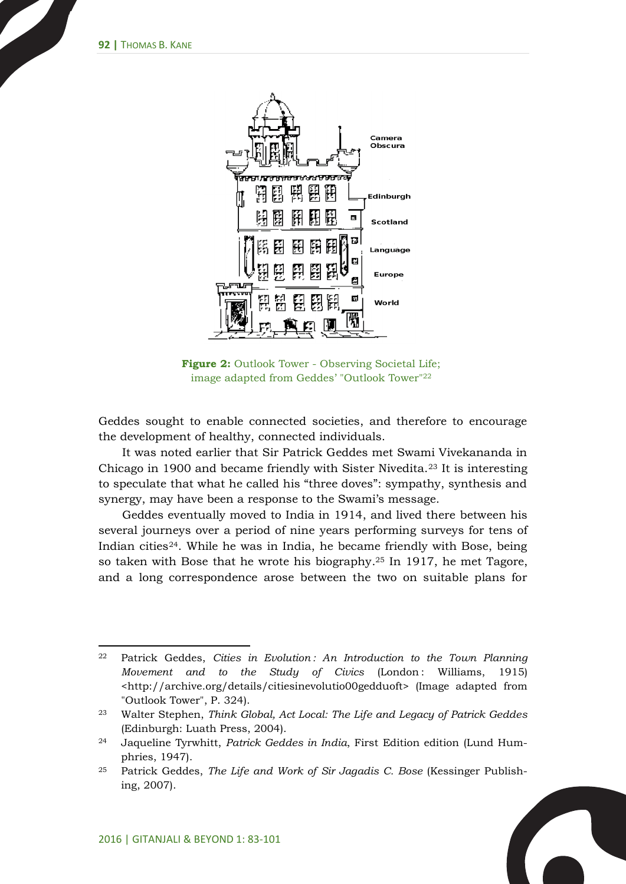

**Figure 2:** Outlook Tower - Observing Societal Life; image adapted from Geddes' "Outlook Tower"<sup>22</sup>

Geddes sought to enable connected societies, and therefore to encourage the development of healthy, connected individuals.

It was noted earlier that Sir Patrick Geddes met Swami Vivekananda in Chicago in 1900 and became friendly with Sister Nivedita.<sup>23</sup> It is interesting to speculate that what he called his "three doves": sympathy, synthesis and synergy, may have been a response to the Swami's message.

Geddes eventually moved to India in 1914, and lived there between his several journeys over a period of nine years performing surveys for tens of Indian cities24. While he was in India, he became friendly with Bose, being so taken with Bose that he wrote his biography. <sup>25</sup> In 1917, he met Tagore, and a long correspondence arose between the two on suitable plans for

<sup>22</sup> Patrick Geddes, *Cities in Evolution : An Introduction to the Town Planning Movement and to the Study of Civics* (London : Williams, 1915) <http://archive.org/details/citiesinevolutio00gedduoft> (Image adapted from "Outlook Tower", P. 324).

<sup>23</sup> Walter Stephen, *Think Global, Act Local: The Life and Legacy of Patrick Geddes* (Edinburgh: Luath Press, 2004).

<sup>24</sup> Jaqueline Tyrwhitt, *Patrick Geddes in India*, First Edition edition (Lund Humphries, 1947).

<sup>25</sup> Patrick Geddes, *The Life and Work of Sir Jagadis C. Bose* (Kessinger Publishing, 2007).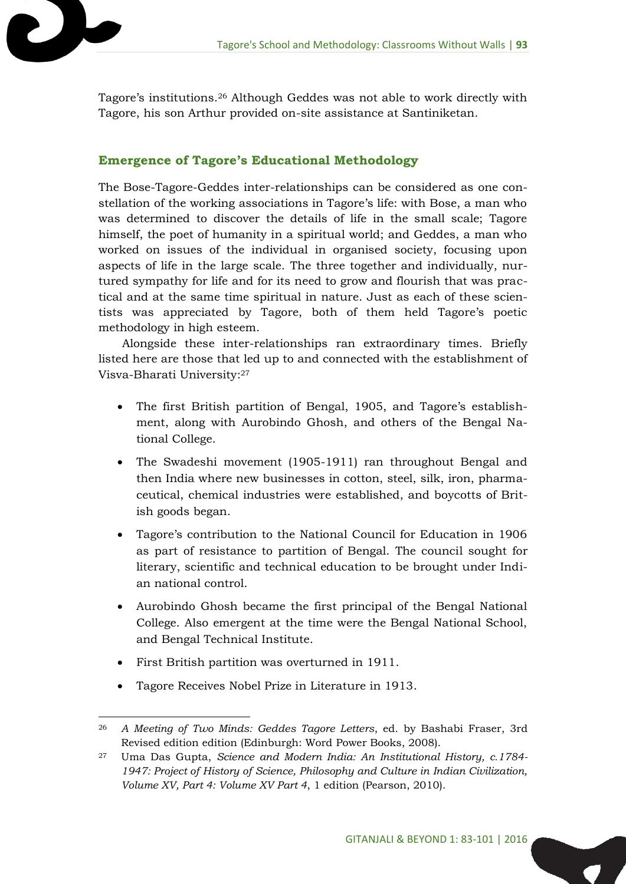Tagore's institutions. <sup>26</sup> Although Geddes was not able to work directly with Tagore, his son Arthur provided on-site assistance at Santiniketan.

#### **Emergence of Tagore's Educational Methodology**

2 L

The Bose-Tagore-Geddes inter-relationships can be considered as one constellation of the working associations in Tagore's life: with Bose, a man who was determined to discover the details of life in the small scale; Tagore himself, the poet of humanity in a spiritual world; and Geddes, a man who worked on issues of the individual in organised society, focusing upon aspects of life in the large scale. The three together and individually, nurtured sympathy for life and for its need to grow and flourish that was practical and at the same time spiritual in nature. Just as each of these scientists was appreciated by Tagore, both of them held Tagore's poetic methodology in high esteem.

Alongside these inter-relationships ran extraordinary times. Briefly listed here are those that led up to and connected with the establishment of Visva-Bharati University: 27

- The first British partition of Bengal, 1905, and Tagore's establishment, along with Aurobindo Ghosh, and others of the Bengal National College.
- The Swadeshi movement (1905-1911) ran throughout Bengal and then India where new businesses in cotton, steel, silk, iron, pharmaceutical, chemical industries were established, and boycotts of British goods began.
- Tagore's contribution to the National Council for Education in 1906 as part of resistance to partition of Bengal. The council sought for literary, scientific and technical education to be brought under Indian national control.
- Aurobindo Ghosh became the first principal of the Bengal National College. Also emergent at the time were the Bengal National School, and Bengal Technical Institute.
- First British partition was overturned in 1911.
- Tagore Receives Nobel Prize in Literature in 1913.

 $\overline{a}$ <sup>26</sup> *A Meeting of Two Minds: Geddes Tagore Letters*, ed. by Bashabi Fraser, 3rd Revised edition edition (Edinburgh: Word Power Books, 2008).

<sup>27</sup> Uma Das Gupta, *Science and Modern India: An Institutional History, c.1784- 1947: Project of History of Science, Philosophy and Culture in Indian Civilization, Volume XV, Part 4: Volume XV Part 4*, 1 edition (Pearson, 2010).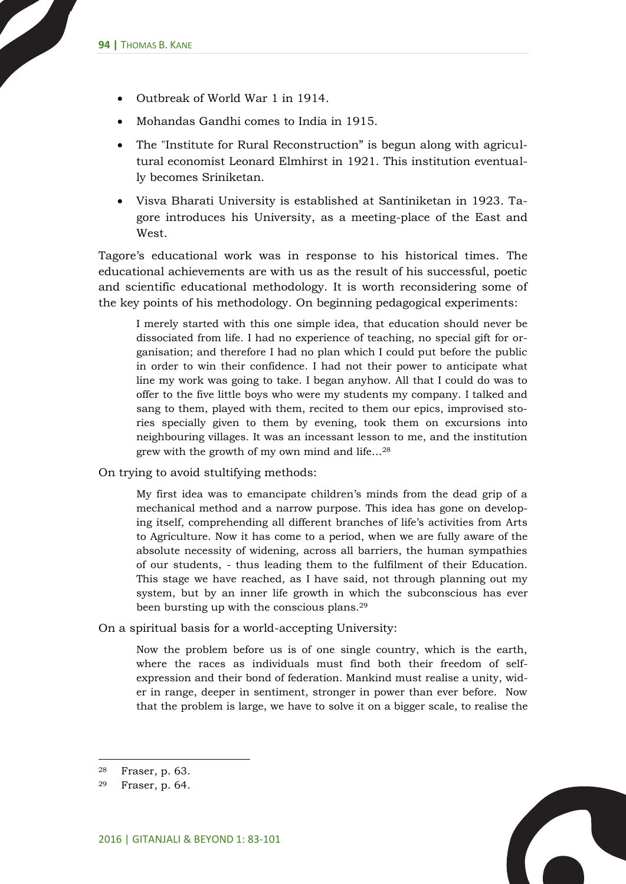- Outbreak of World War 1 in 1914.
- Mohandas Gandhi comes to India in 1915.
- The "Institute for Rural Reconstruction" is begun along with agricultural economist Leonard Elmhirst in 1921. This institution eventually becomes Sriniketan.
- Visva Bharati University is established at Santiniketan in 1923. Tagore introduces his University, as a meeting-place of the East and West.

Tagore's educational work was in response to his historical times. The educational achievements are with us as the result of his successful, poetic and scientific educational methodology. It is worth reconsidering some of the key points of his methodology. On beginning pedagogical experiments:

I merely started with this one simple idea, that education should never be dissociated from life. I had no experience of teaching, no special gift for organisation; and therefore I had no plan which I could put before the public in order to win their confidence. I had not their power to anticipate what line my work was going to take. I began anyhow. All that I could do was to offer to the five little boys who were my students my company. I talked and sang to them, played with them, recited to them our epics, improvised stories specially given to them by evening, took them on excursions into neighbouring villages. It was an incessant lesson to me, and the institution grew with the growth of my own mind and life…<sup>28</sup>

On trying to avoid stultifying methods:

My first idea was to emancipate children's minds from the dead grip of a mechanical method and a narrow purpose. This idea has gone on developing itself, comprehending all different branches of life's activities from Arts to Agriculture. Now it has come to a period, when we are fully aware of the absolute necessity of widening, across all barriers, the human sympathies of our students, - thus leading them to the fulfilment of their Education. This stage we have reached, as I have said, not through planning out my system, but by an inner life growth in which the subconscious has ever been bursting up with the conscious plans.<sup>29</sup>

On a spiritual basis for a world-accepting University:

Now the problem before us is of one single country, which is the earth, where the races as individuals must find both their freedom of selfexpression and their bond of federation. Mankind must realise a unity, wider in range, deeper in sentiment, stronger in power than ever before. Now that the problem is large, we have to solve it on a bigger scale, to realise the

<sup>28</sup> Fraser, p. 63.

<sup>29</sup> Fraser, p. 64.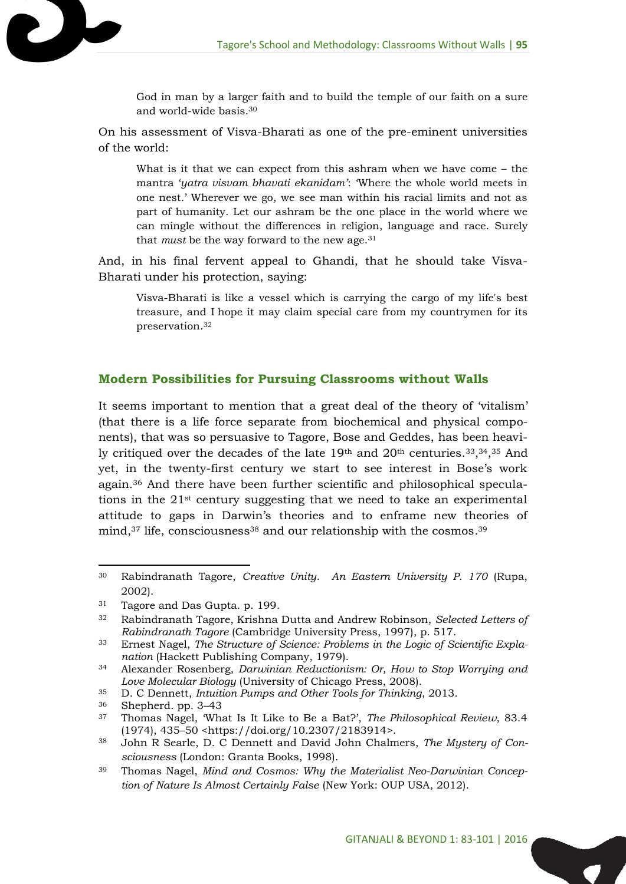God in man by a larger faith and to build the temple of our faith on a sure and world-wide basis.<sup>30</sup>

On his assessment of Visva-Bharati as one of the pre-eminent universities of the world:

What is it that we can expect from this ashram when we have come – the mantra '*yatra visvam bhavati ekanidam'*: 'Where the whole world meets in one nest.' Wherever we go, we see man within his racial limits and not as part of humanity. Let our ashram be the one place in the world where we can mingle without the differences in religion, language and race. Surely that *must* be the way forward to the new age.<sup>31</sup>

And, in his final fervent appeal to Ghandi, that he should take Visva-Bharati under his protection, saying:

Visva-Bharati is like a vessel which is carrying the cargo of my life's best treasure, and I hope it may claim special care from my countrymen for its preservation.<sup>32</sup>

#### **Modern Possibilities for Pursuing Classrooms without Walls**

It seems important to mention that a great deal of the theory of 'vitalism' (that there is a life force separate from biochemical and physical components), that was so persuasive to Tagore, Bose and Geddes, has been heavily critiqued over the decades of the late 19<sup>th</sup> and 20<sup>th</sup> centuries.<sup>33</sup>,<sup>34</sup>,<sup>35</sup> And yet, in the twenty-first century we start to see interest in Bose's work again. <sup>36</sup> And there have been further scientific and philosophical speculations in the  $21<sup>st</sup>$  century suggesting that we need to take an experimental attitude to gaps in Darwin's theories and to enframe new theories of mind,<sup>37</sup> life, consciousness<sup>38</sup> and our relationship with the cosmos.<sup>39</sup>

 $\overline{a}$ 

<sup>30</sup> Rabindranath Tagore, *Creative Unity. An Eastern University P. 170* (Rupa, 2002).

<sup>31</sup> Tagore and Das Gupta. p. 199.

<sup>32</sup> Rabindranath Tagore, Krishna Dutta and Andrew Robinson, *Selected Letters of Rabindranath Tagore* (Cambridge University Press, 1997), p. 517.

<sup>33</sup> Ernest Nagel, *The Structure of Science: Problems in the Logic of Scientific Explanation* (Hackett Publishing Company, 1979).

<sup>34</sup> Alexander Rosenberg, *Darwinian Reductionism: Or, How to Stop Worrying and Love Molecular Biology* (University of Chicago Press, 2008).

<sup>35</sup> D. C Dennett, *Intuition Pumps and Other Tools for Thinking*, 2013.

<sup>36</sup> Shepherd. pp. 3–43

<sup>37</sup> Thomas Nagel, 'What Is It Like to Be a Bat?', *The Philosophical Review*, 83.4 (1974), 435–50 <https://doi.org/10.2307/2183914>.

<sup>38</sup> John R Searle, D. C Dennett and David John Chalmers, *The Mystery of Consciousness* (London: Granta Books, 1998).

<sup>39</sup> Thomas Nagel, *Mind and Cosmos: Why the Materialist Neo-Darwinian Conception of Nature Is Almost Certainly False* (New York: OUP USA, 2012).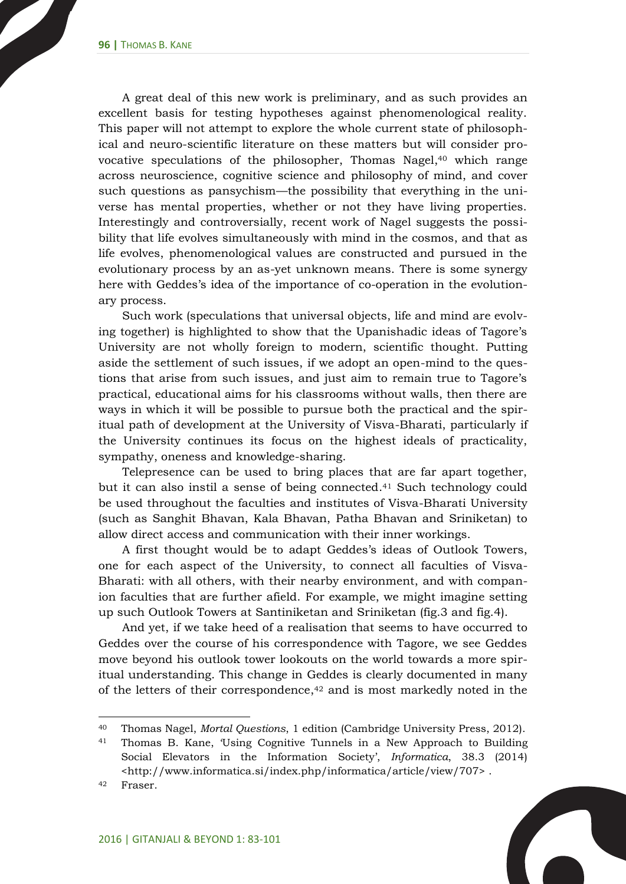A great deal of this new work is preliminary, and as such provides an excellent basis for testing hypotheses against phenomenological reality. This paper will not attempt to explore the whole current state of philosophical and neuro-scientific literature on these matters but will consider provocative speculations of the philosopher, Thomas Nagel, <sup>40</sup> which range across neuroscience, cognitive science and philosophy of mind, and cover such questions as pansychism—the possibility that everything in the universe has mental properties, whether or not they have living properties. Interestingly and controversially, recent work of Nagel suggests the possibility that life evolves simultaneously with mind in the cosmos, and that as life evolves, phenomenological values are constructed and pursued in the evolutionary process by an as-yet unknown means. There is some synergy here with Geddes's idea of the importance of co-operation in the evolutionary process.

Such work (speculations that universal objects, life and mind are evolving together) is highlighted to show that the Upanishadic ideas of Tagore's University are not wholly foreign to modern, scientific thought. Putting aside the settlement of such issues, if we adopt an open-mind to the questions that arise from such issues, and just aim to remain true to Tagore's practical, educational aims for his classrooms without walls, then there are ways in which it will be possible to pursue both the practical and the spiritual path of development at the University of Visva-Bharati, particularly if the University continues its focus on the highest ideals of practicality, sympathy, oneness and knowledge-sharing.

Telepresence can be used to bring places that are far apart together, but it can also instil a sense of being connected. <sup>41</sup> Such technology could be used throughout the faculties and institutes of Visva-Bharati University (such as Sanghit Bhavan, Kala Bhavan, Patha Bhavan and Sriniketan) to allow direct access and communication with their inner workings.

A first thought would be to adapt Geddes's ideas of Outlook Towers, one for each aspect of the University, to connect all faculties of Visva-Bharati: with all others, with their nearby environment, and with companion faculties that are further afield. For example, we might imagine setting up such Outlook Towers at Santiniketan and Sriniketan (fig.3 and fig.4).

And yet, if we take heed of a realisation that seems to have occurred to Geddes over the course of his correspondence with Tagore, we see Geddes move beyond his outlook tower lookouts on the world towards a more spiritual understanding. This change in Geddes is clearly documented in many of the letters of their correspondence, <sup>42</sup> and is most markedly noted in the

<sup>40</sup> Thomas Nagel, *Mortal Questions*, 1 edition (Cambridge University Press, 2012).

<sup>41</sup> Thomas B. Kane, 'Using Cognitive Tunnels in a New Approach to Building Social Elevators in the Information Society', *Informatica*, 38.3 (2014) <http://www.informatica.si/index.php/informatica/article/view/707> .

<sup>42</sup> Fraser.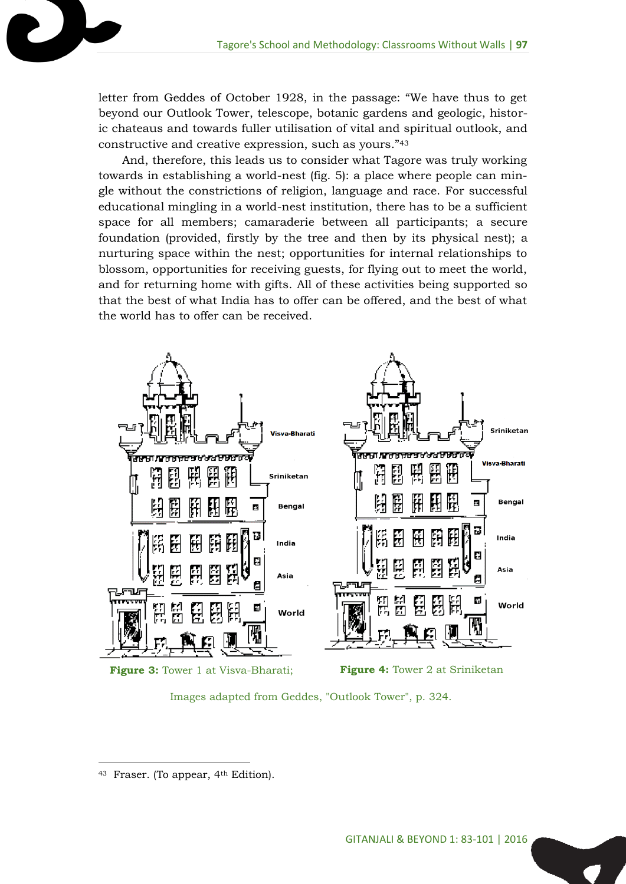letter from Geddes of October 1928, in the passage: "We have thus to get beyond our Outlook Tower, telescope, botanic gardens and geologic, historic chateaus and towards fuller utilisation of vital and spiritual outlook, and constructive and creative expression, such as yours."<sup>43</sup>

And, therefore, this leads us to consider what Tagore was truly working towards in establishing a world-nest (fig. 5): a place where people can mingle without the constrictions of religion, language and race. For successful educational mingling in a world-nest institution, there has to be a sufficient space for all members; camaraderie between all participants; a secure foundation (provided, firstly by the tree and then by its physical nest); a nurturing space within the nest; opportunities for internal relationships to blossom, opportunities for receiving guests, for flying out to meet the world, and for returning home with gifts. All of these activities being supported so that the best of what India has to offer can be offered, and the best of what the world has to offer can be received.



Images adapted from Geddes, "Outlook Tower", p. 324.

Fraser. (To appear, 4<sup>th</sup> Edition).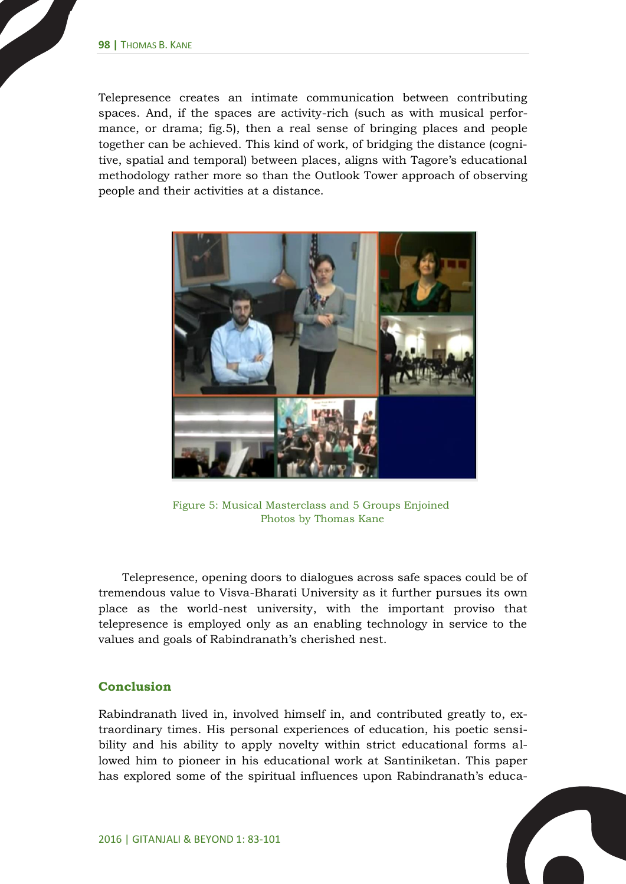Telepresence creates an intimate communication between contributing spaces. And, if the spaces are activity-rich (such as with musical performance, or drama; fig.5), then a real sense of bringing places and people together can be achieved. This kind of work, of bridging the distance (cognitive, spatial and temporal) between places, aligns with Tagore's educational methodology rather more so than the Outlook Tower approach of observing people and their activities at a distance.



Figure 5: Musical Masterclass and 5 Groups Enjoined Photos by Thomas Kane

Telepresence, opening doors to dialogues across safe spaces could be of tremendous value to Visva-Bharati University as it further pursues its own place as the world-nest university, with the important proviso that telepresence is employed only as an enabling technology in service to the values and goals of Rabindranath's cherished nest.

#### **Conclusion**

Rabindranath lived in, involved himself in, and contributed greatly to, extraordinary times. His personal experiences of education, his poetic sensibility and his ability to apply novelty within strict educational forms allowed him to pioneer in his educational work at Santiniketan. This paper has explored some of the spiritual influences upon Rabindranath's educa-

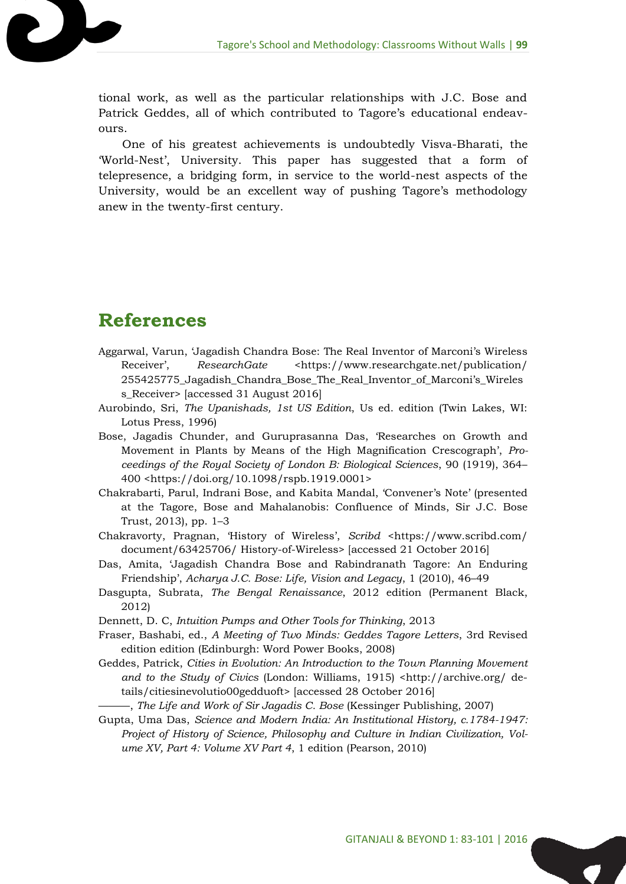tional work, as well as the particular relationships with J.C. Bose and Patrick Geddes, all of which contributed to Tagore's educational endeavours.

One of his greatest achievements is undoubtedly Visva-Bharati, the 'World-Nest', University. This paper has suggested that a form of telepresence, a bridging form, in service to the world-nest aspects of the University, would be an excellent way of pushing Tagore's methodology anew in the twenty-first century.

## **References**

- Aggarwal, Varun, 'Jagadish Chandra Bose: The Real Inventor of Marconi's Wireless Receiver', ResearchGate <https://www.researchgate.net/publication/ 255425775\_Jagadish\_Chandra\_Bose\_The\_Real\_Inventor\_of\_Marconi's\_Wireles s\_Receiver> [accessed 31 August 2016]
- Aurobindo, Sri, *The Upanishads, 1st US Edition*, Us ed. edition (Twin Lakes, WI: Lotus Press, 1996)
- Bose, Jagadis Chunder, and Guruprasanna Das, 'Researches on Growth and Movement in Plants by Means of the High Magnification Crescograph', *Proceedings of the Royal Society of London B: Biological Sciences*, 90 (1919), 364– 400 <https://doi.org/10.1098/rspb.1919.0001>
- Chakrabarti, Parul, Indrani Bose, and Kabita Mandal, 'Convener's Note' (presented at the Tagore, Bose and Mahalanobis: Confluence of Minds, Sir J.C. Bose Trust, 2013), pp. 1–3
- Chakravorty, Pragnan, 'History of Wireless', *Scribd* <https://www.scribd.com/ document/63425706/ History-of-Wireless> [accessed 21 October 2016]
- Das, Amita, 'Jagadish Chandra Bose and Rabindranath Tagore: An Enduring Friendship', *Acharya J.C. Bose: Life, Vision and Legacy*, 1 (2010), 46–49
- Dasgupta, Subrata, *The Bengal Renaissance*, 2012 edition (Permanent Black, 2012)
- Dennett, D. C, *Intuition Pumps and Other Tools for Thinking*, 2013
- Fraser, Bashabi, ed., *A Meeting of Two Minds: Geddes Tagore Letters*, 3rd Revised edition edition (Edinburgh: Word Power Books, 2008)
- Geddes, Patrick, *Cities in Evolution: An Introduction to the Town Planning Movement and to the Study of Civics* (London: Williams, 1915) <http://archive.org/ details/citiesinevolutio00gedduoft> [accessed 28 October 2016]
	- ———, *The Life and Work of Sir Jagadis C. Bose* (Kessinger Publishing, 2007)
- Gupta, Uma Das, *Science and Modern India: An Institutional History, c.1784-1947: Project of History of Science, Philosophy and Culture in Indian Civilization, Volume XV, Part 4: Volume XV Part 4*, 1 edition (Pearson, 2010)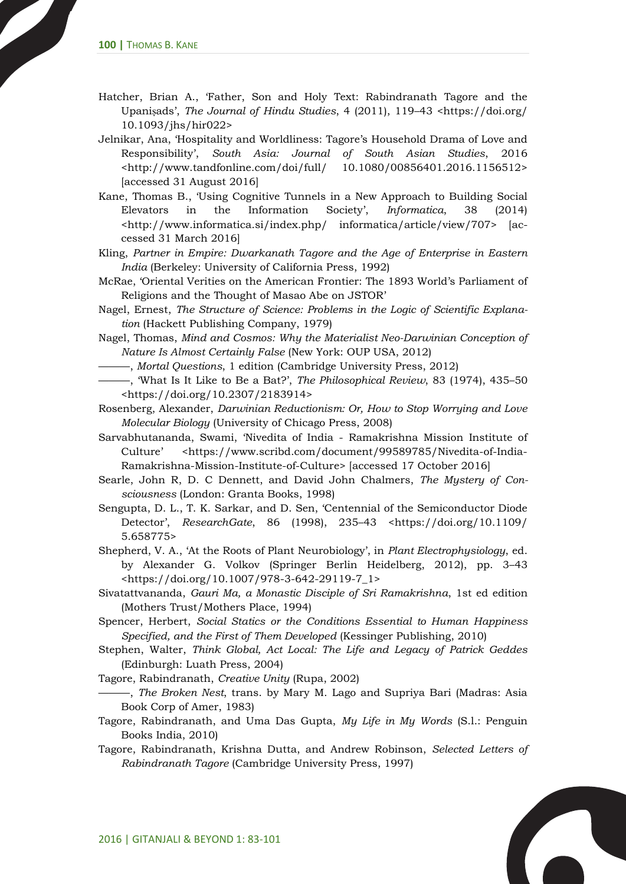- Hatcher, Brian A., 'Father, Son and Holy Text: Rabindranath Tagore and the Upaniṣads', *The Journal of Hindu Studies*, 4 (2011), 119–43 <https://doi.org/ 10.1093/jhs/hir022>
- Jelnikar, Ana, 'Hospitality and Worldliness: Tagore's Household Drama of Love and Responsibility', *South Asia: Journal of South Asian Studies*, 2016 <http://www.tandfonline.com/doi/full/ 10.1080/00856401.2016.1156512> [accessed 31 August 2016]
- Kane, Thomas B., 'Using Cognitive Tunnels in a New Approach to Building Social Elevators in the Information Society', *Informatica*, 38 (2014) <http://www.informatica.si/index.php/ informatica/article/view/707> [accessed 31 March 2016]
- Kling, *Partner in Empire: Dwarkanath Tagore and the Age of Enterprise in Eastern India* (Berkeley: University of California Press, 1992)
- McRae, 'Oriental Verities on the American Frontier: The 1893 World's Parliament of Religions and the Thought of Masao Abe on JSTOR'
- Nagel, Ernest, *The Structure of Science: Problems in the Logic of Scientific Explanation* (Hackett Publishing Company, 1979)
- Nagel, Thomas, *Mind and Cosmos: Why the Materialist Neo-Darwinian Conception of Nature Is Almost Certainly False* (New York: OUP USA, 2012)
	- ———, *Mortal Questions*, 1 edition (Cambridge University Press, 2012)
- ———, 'What Is It Like to Be a Bat?', *The Philosophical Review*, 83 (1974), 435–50 <https://doi.org/10.2307/2183914>
- Rosenberg, Alexander, *Darwinian Reductionism: Or, How to Stop Worrying and Love Molecular Biology* (University of Chicago Press, 2008)
- Sarvabhutananda, Swami, 'Nivedita of India Ramakrishna Mission Institute of Culture' <https://www.scribd.com/document/99589785/Nivedita-of-India-Ramakrishna-Mission-Institute-of-Culture> [accessed 17 October 2016]
- Searle, John R, D. C Dennett, and David John Chalmers, *The Mystery of Consciousness* (London: Granta Books, 1998)
- Sengupta, D. L., T. K. Sarkar, and D. Sen, 'Centennial of the Semiconductor Diode Detector', *ResearchGate*, 86 (1998), 235–43 <https://doi.org/10.1109/ 5.658775>
- Shepherd, V. A., 'At the Roots of Plant Neurobiology', in *Plant Electrophysiology*, ed. by Alexander G. Volkov (Springer Berlin Heidelberg, 2012), pp. 3–43 <https://doi.org/10.1007/978-3-642-29119-7\_1>
- Sivatattvananda, *Gauri Ma, a Monastic Disciple of Sri Ramakrishna*, 1st ed edition (Mothers Trust/Mothers Place, 1994)
- Spencer, Herbert, *Social Statics or the Conditions Essential to Human Happiness Specified, and the First of Them Developed* (Kessinger Publishing, 2010)
- Stephen, Walter, *Think Global, Act Local: The Life and Legacy of Patrick Geddes* (Edinburgh: Luath Press, 2004)

Tagore, Rabindranath, *Creative Unity* (Rupa, 2002)

- ———, *The Broken Nest*, trans. by Mary M. Lago and Supriya Bari (Madras: Asia Book Corp of Amer, 1983)
- Tagore, Rabindranath, and Uma Das Gupta, *My Life in My Words* (S.l.: Penguin Books India, 2010)
- Tagore, Rabindranath, Krishna Dutta, and Andrew Robinson, *Selected Letters of Rabindranath Tagore* (Cambridge University Press, 1997)